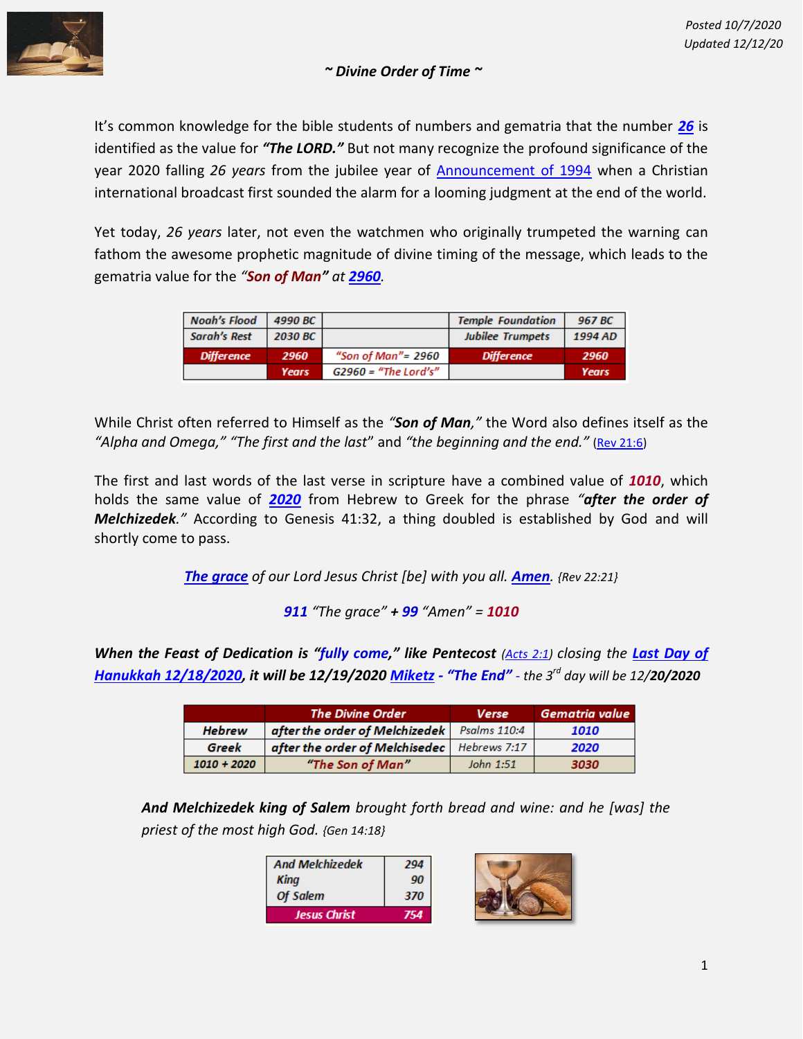

## *~ Divine Order of Time ~*

It's common knowledge for the bible students of numbers and gematria that the number *[26](https://www.biblewheel.com/GR/GR_26.php)* is identified as the value for *"The LORD."* But not many recognize the profound significance of the year 2020 falling *26 years* from the jubilee year of [Announcement of 1994](http://content.time.com/time/specials/packages/article/0,28804,2072678_2072683_2072703,00.html) when a Christian international broadcast first sounded the alarm for a looming judgment at the end of the world.

Yet today, *26 years* later, not even the watchmen who originally trumpeted the warning can fathom the awesome prophetic magnitude of divine timing of the message, which leads to the gematria value for the *"Son of Man" at [2960](http://www.jesus8880.com/gematria/topic_essays/son_of_man_2960.htm).*

| Noah's Flood      | 4990 BC      |                        | <b>Temple Foundation</b> | 967 BC       |
|-------------------|--------------|------------------------|--------------------------|--------------|
| Sarah's Rest      | 2030 BC      |                        | <b>Jubilee Trumpets</b>  | 1994 AD      |
| <b>Difference</b> | 2960         | "Son of Man"= 2960     | <b>Difference</b>        | 2960         |
|                   | <b>Years</b> | $G2960$ = "The Lord's" |                          | <b>Years</b> |

While Christ often referred to Himself as the *"Son of Man,"* the Word also defines itself as the *"Alpha and Omega," "The first and the last*" and *"the beginning and the end."* [\(Rev 21:6\)](https://www.blueletterbible.org/tools/MultiVerse.cfm?s=0003lv)

The first and last words of the last verse in scripture have a combined value of *1010*, which holds the same value of *[2020](https://www.biblewheel.com/GR/GR_2020.php)* from Hebrew to Greek for the phrase *"after the order of Melchizedek."* According to Genesis 41:32, a thing doubled is established by God and will shortly come to pass.

*The grace of our Lord Jesus Christ [be] with you all. Amen. {Rev 22:21}*

*911 "The grace" + 99 "Amen" = 1010*

*When the Feast of Dedication is "fully come," like Pentecost [\(Acts 2:1\)](https://www.blueletterbible.org/tools/MultiVerse.cfm?s=000AbH) closing the [Last Day of](https://valleyofdecision2020.com/index_files/Page1559.htm)  Hanukkah [12/18/2020,](https://valleyofdecision2020.com/index_files/Page1559.htm) it will be 12/19/2020 [Miketz](https://en.wikipedia.org/wiki/Miketz) - "The End" - the 3 rd day will be 12/20/2020*

|               | <b>The Divine Order</b>                       | <b>Verse</b> | Gematria value |
|---------------|-----------------------------------------------|--------------|----------------|
| <b>Hebrew</b> | after the order of Melchizedek                | Psalms 110:4 | 1010           |
| Greek         | after the order of Melchisedec   Hebrews 7:17 |              | 2020           |
| $1010 + 2020$ | "The Son of Man"                              | John 1:51    | 3030           |

*And Melchizedek king of Salem brought forth bread and wine: and he [was] the priest of the most high God. {Gen 14:18}*

| <b>And Melchizedek</b> | 294 |  |
|------------------------|-----|--|
| Kina                   | 90  |  |
| Of Salem               | 370 |  |
| <b>Jesus Christ</b>    |     |  |